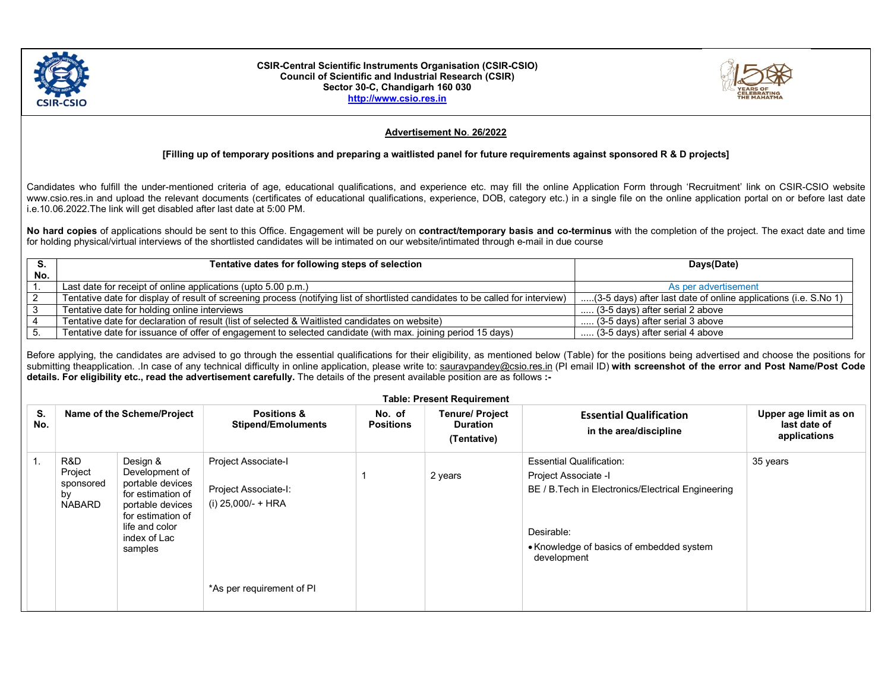

#### CSIR-Central Scientific Instruments Organisation (CSIR-CSIO) Council of Scientific and Industrial Research (CSIR) Sector 30-C, Chandigarh 160 030 http://www.csio.res.in



## Advertisement No. 26/2022

### [Filling up of temporary positions and preparing a waitlisted panel for future requirements against sponsored R & D projects]

Candidates who fulfill the under-mentioned criteria of age, educational qualifications, and experience etc. may fill the online Application Form through 'Recruitment' link on CSIR-CSIO website www.csio.res.in and upload the relevant documents (certificates of educational qualifications, experience, DOB, category etc.) in a single file on the online application portal on or before last date i.e.10.06.2022.The link will get disabled after last date at 5:00 PM.

No hard copies of applications should be sent to this Office. Engagement will be purely on contract/temporary basis and co-terminus with the completion of the project. The exact date and time for holding physical/virtual interviews of the shortlisted candidates will be intimated on our website/intimated through e-mail in due course

|     | Tentative dates for following steps of selection                                                                                | Days(Date)                                                      |  |
|-----|---------------------------------------------------------------------------------------------------------------------------------|-----------------------------------------------------------------|--|
| No. |                                                                                                                                 |                                                                 |  |
|     | Last date for receipt of online applications (upto 5.00 p.m.)                                                                   | As per advertisement                                            |  |
|     | Tentative date for display of result of screening process (notifying list of shortlisted candidates to be called for interview) | (3-5 days) after last date of online applications (i.e. S.No 1) |  |
|     | Tentative date for holding online interviews                                                                                    | (3-5 days) after serial 2 above                                 |  |
|     | Tentative date for declaration of result (list of selected & Waitlisted candidates on website)                                  | $\ldots$ (3-5 days) after serial 3 above                        |  |
|     | Tentative date for issuance of offer of engagement to selected candidate (with max. joining period 15 days)                     | (3-5 days) after serial 4 above                                 |  |

Before applying, the candidates are advised to go through the essential qualifications for their eligibility, as mentioned below (Table) for the positions being advertised and choose the positions for submitting theapplication. In case of any technical difficulty in online application, please write to: sauravpandey@csio.res.in (PI email ID) with screenshot of the error and Post Name/Post Code details. For eligibility etc., read the advertisement carefully. The details of the present available position are as follows :-

| <b>Table: Present Requirement</b> |                                                    |                                                                                                                                                           |                                                                                                |                            |                                                          |                                                                                                                                                                                        |                                                       |  |
|-----------------------------------|----------------------------------------------------|-----------------------------------------------------------------------------------------------------------------------------------------------------------|------------------------------------------------------------------------------------------------|----------------------------|----------------------------------------------------------|----------------------------------------------------------------------------------------------------------------------------------------------------------------------------------------|-------------------------------------------------------|--|
| S.<br>No.                         | Name of the Scheme/Project                         |                                                                                                                                                           | <b>Positions &amp;</b><br><b>Stipend/Emoluments</b>                                            | No. of<br><b>Positions</b> | <b>Tenure/ Project</b><br><b>Duration</b><br>(Tentative) | <b>Essential Qualification</b><br>in the area/discipline                                                                                                                               | Upper age limit as on<br>last date of<br>applications |  |
| 1.                                | R&D<br>Project<br>sponsored<br>by<br><b>NABARD</b> | Design &<br>Development of<br>portable devices<br>for estimation of<br>portable devices<br>for estimation of<br>life and color<br>index of Lac<br>samples | Project Associate-I<br>Project Associate-I:<br>(i) 25,000/- + HRA<br>*As per requirement of PI |                            | 2 years                                                  | <b>Essential Qualification:</b><br>Project Associate -I<br>BE / B. Tech in Electronics/Electrical Engineering<br>Desirable:<br>• Knowledge of basics of embedded system<br>development | 35 years                                              |  |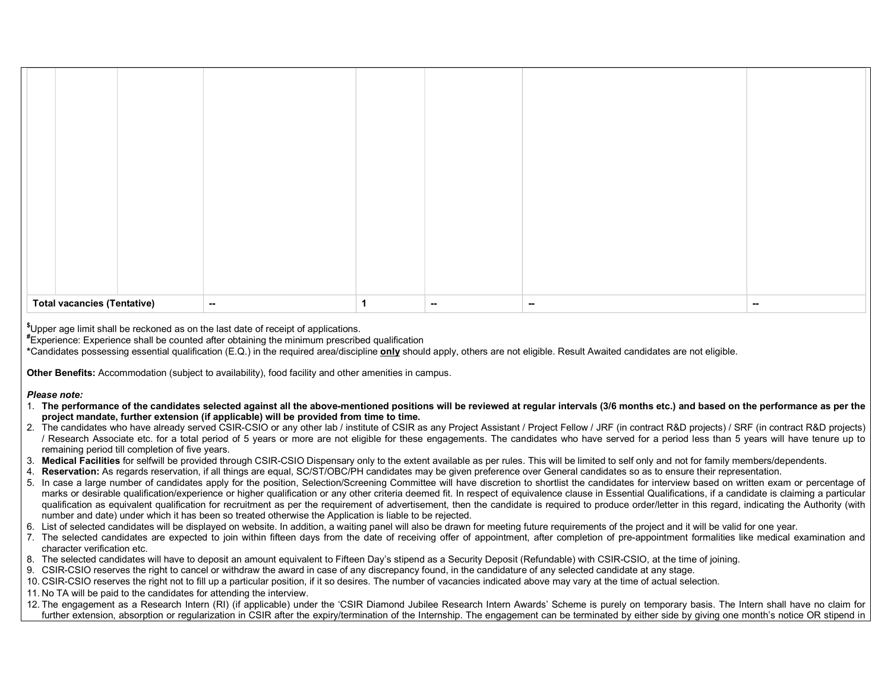| <b>Total vacancies (Tentative)</b> |  | $\sim$ | $\sim$ | $\sim$ | $\sim$ |
|------------------------------------|--|--------|--------|--------|--------|

\$Upper age limit shall be reckoned as on the last date of receipt of applications.

#Experience: Experience shall be counted after obtaining the minimum prescribed qualification

\*Candidates possessing essential qualification (E.Q.) in the required area/discipline only should apply, others are not eligible. Result Awaited candidates are not eligible.

Other Benefits: Accommodation (subject to availability), food facility and other amenities in campus.

### Please note:

- 1. The performance of the candidates selected against all the above-mentioned positions will be reviewed at regular intervals (3/6 months etc.) and based on the performance as per the project mandate, further extension (if applicable) will be provided from time to time.
- 2. The candidates who have already served CSIR-CSIO or any other lab / institute of CSIR as any Project Assistant / Project Fellow / JRF (in contract R&D projects) / SRF (in contract R&D projects) / Research Associate etc. for a total period of 5 years or more are not eligible for these engagements. The candidates who have served for a period less than 5 years will have tenure up to remaining period till completion of five years.
- 3. Medical Facilities for selfwill be provided through CSIR-CSIO Dispensary only to the extent available as per rules. This will be limited to self only and not for family members/dependents.
- 4. Reservation: As regards reservation, if all things are equal, SC/ST/OBC/PH candidates may be given preference over General candidates so as to ensure their representation.
- 5. In case a large number of candidates apply for the position, Selection/Screening Committee will have discretion to shortlist the candidates for interview based on written exam or percentage of marks or desirable qualification/experience or higher qualification or any other criteria deemed fit. In respect of equivalence clause in Essential Qualifications, if a candidate is claiming a particular qualification as equivalent qualification for recruitment as per the requirement of advertisement, then the candidate is required to produce order/letter in this regard, indicating the Authority (with number and date) under which it has been so treated otherwise the Application is liable to be rejected.
- 6. List of selected candidates will be displayed on website. In addition, a waiting panel will also be drawn for meeting future requirements of the project and it will be valid for one year.
- 7. The selected candidates are expected to join within fifteen days from the date of receiving offer of appointment, after completion of pre-appointment formalities like medical examination and character verification etc.
- 8. The selected candidates will have to deposit an amount equivalent to Fifteen Day's stipend as a Security Deposit (Refundable) with CSIR-CSIO, at the time of joining.
- 9. CSIR-CSIO reserves the right to cancel or withdraw the award in case of any discrepancy found, in the candidature of any selected candidate at any stage.
- 10. CSIR-CSIO reserves the right not to fill up a particular position, if it so desires. The number of vacancies indicated above may vary at the time of actual selection.
- 11. No TA will be paid to the candidates for attending the interview.
- 12. The engagement as a Research Intern (RI) (if applicable) under the 'CSIR Diamond Jubilee Research Intern Awards' Scheme is purely on temporary basis. The Intern shall have no claim for further extension. absorption or regularization in CSIR after the expiry/termination of the Internship. The engagement can be terminated by either side by giving one month's notice OR stipend in